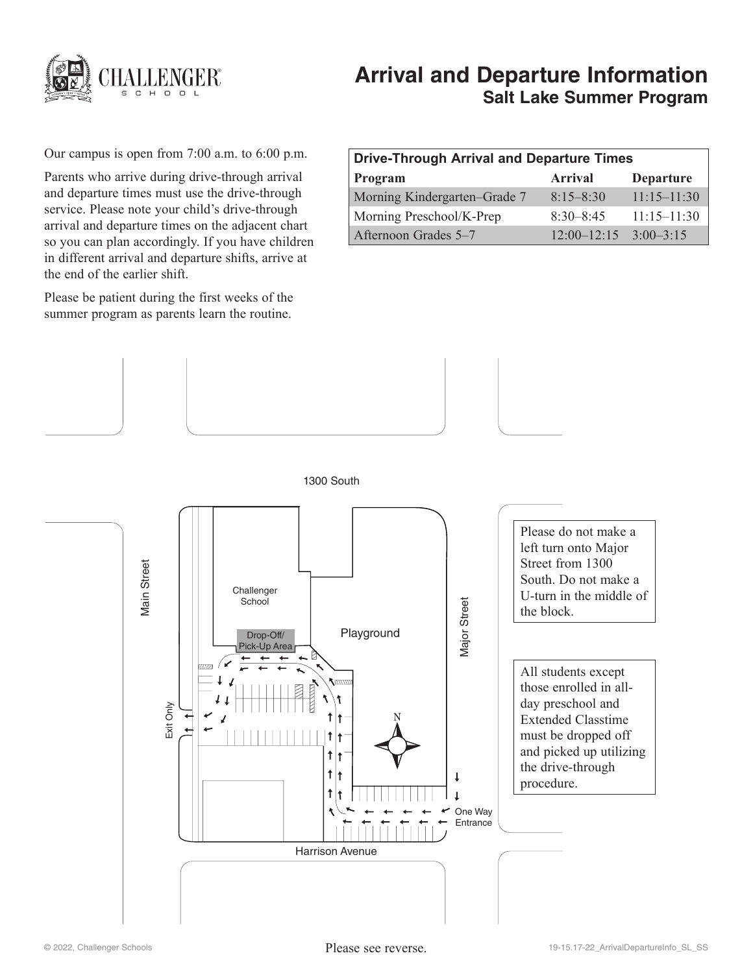

# **Arrival and Departure Information Salt Lake Summer Program**

Our campus is open from 7:00 a.m. to 6:00 p.m.

Parents who arrive during drive-through arrival and departure times must use the drive-through service. Please note your child's drive-through arrival and departure times on the adjacent chart so you can plan accordingly. If you have children in different arrival and departure shifts, arrive at the end of the earlier shift.

Please be patient during the first weeks of the summer program as parents learn the routine.

| <b>Drive-Through Arrival and Departure Times</b> |                 |                  |
|--------------------------------------------------|-----------------|------------------|
| Program                                          | <b>Arrival</b>  | <b>Departure</b> |
| Morning Kindergarten–Grade 7                     | $8:15 - 8:30$   | $11:15 - 11:30$  |
| Morning Preschool/K-Prep                         | $8:30 - 8:45$   | $11:15 - 11:30$  |
| Afternoon Grades 5-7                             | $12:00 - 12:15$ | $3:00-3:15$      |